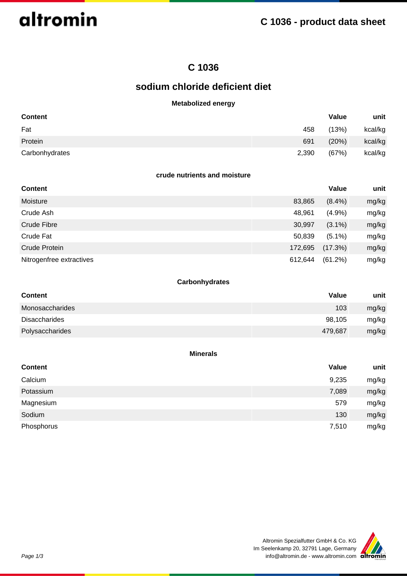

## **C 1036**

## **sodium chloride deficient diet**

## **Metabolized energy**

| <b>Content</b> |       | Value | unit    |
|----------------|-------|-------|---------|
| Fat            | 458   | (13%) | kcal/kg |
| Protein        | 691   | (20%) | kcal/kg |
| Carbonhydrates | 2,390 | (67%) | kcal/kg |

#### **crude nutrients and moisture**

| <b>Content</b>           |         | Value     | unit  |
|--------------------------|---------|-----------|-------|
| Moisture                 | 83,865  | $(8.4\%)$ | mg/kg |
| Crude Ash                | 48,961  | (4.9%     | mg/kg |
| Crude Fibre              | 30,997  | $(3.1\%)$ | mg/kg |
| Crude Fat                | 50,839  | $(5.1\%)$ | mg/kg |
| Crude Protein            | 172,695 | (17.3%)   | mg/kg |
| Nitrogenfree extractives | 612,644 | (61.2%)   | mg/kg |

## **Carbonhydrates**

| <b>Content</b>       | Value   | unit  |
|----------------------|---------|-------|
| Monosaccharides      | 103     | mg/kg |
| <b>Disaccharides</b> | 98,105  | mg/kg |
| Polysaccharides      | 479,687 | mg/kg |

#### **Minerals**

| <b>Content</b> | Value | unit  |
|----------------|-------|-------|
| Calcium        | 9,235 | mg/kg |
| Potassium      | 7,089 | mg/kg |
| Magnesium      | 579   | mg/kg |
| Sodium         | 130   | mg/kg |
| Phosphorus     | 7,510 | mg/kg |

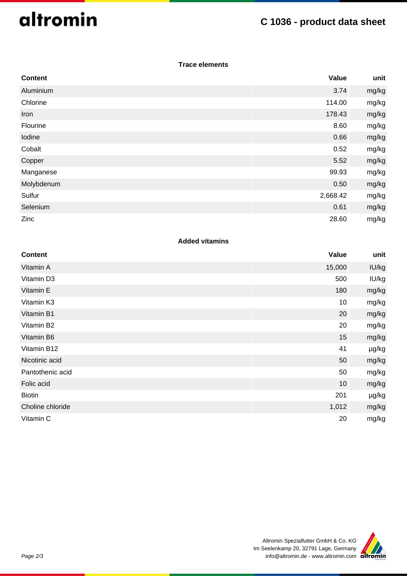# altromin

## **C 1036 - product data sheet**

### **Trace elements**

| <b>Content</b> | Value    | unit  |
|----------------|----------|-------|
| Aluminium      | 3.74     | mg/kg |
| Chlorine       | 114.00   | mg/kg |
| Iron           | 178.43   | mg/kg |
| Flourine       | 8.60     | mg/kg |
| Iodine         | 0.66     | mg/kg |
| Cobalt         | 0.52     | mg/kg |
| Copper         | 5.52     | mg/kg |
| Manganese      | 99.93    | mg/kg |
| Molybdenum     | 0.50     | mg/kg |
| Sulfur         | 2,668.42 | mg/kg |
| Selenium       | 0.61     | mg/kg |
| Zinc           | 28.60    | mg/kg |

## **Added vitamins**

| <b>Content</b>   | Value  | unit  |
|------------------|--------|-------|
| Vitamin A        | 15,000 | IU/kg |
| Vitamin D3       | 500    | IU/kg |
| Vitamin E        | 180    | mg/kg |
| Vitamin K3       | 10     | mg/kg |
| Vitamin B1       | 20     | mg/kg |
| Vitamin B2       | 20     | mg/kg |
| Vitamin B6       | 15     | mg/kg |
| Vitamin B12      | 41     | µg/kg |
| Nicotinic acid   | 50     | mg/kg |
| Pantothenic acid | 50     | mg/kg |
| Folic acid       | 10     | mg/kg |
| <b>Biotin</b>    | 201    | µg/kg |
| Choline chloride | 1,012  | mg/kg |
| Vitamin C        | 20     | mg/kg |